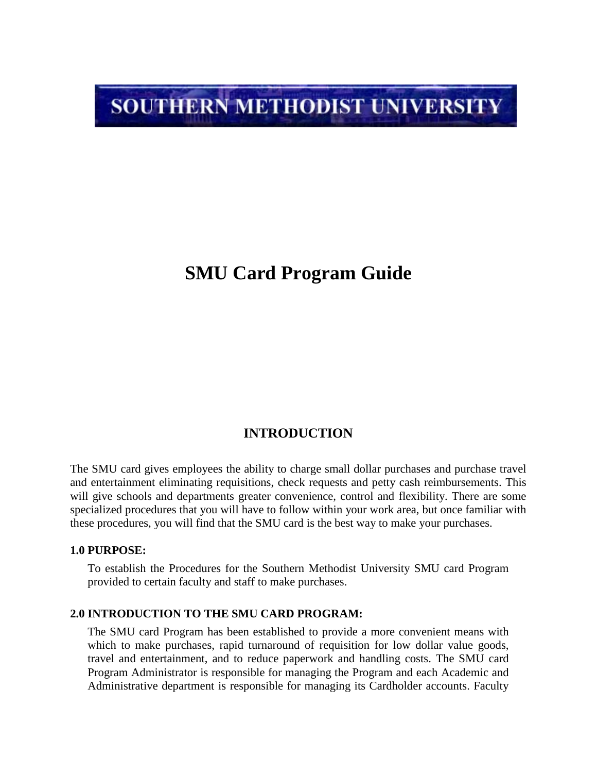# **SOUTHERN METHODIST UNIVERSITY**

# **SMU Card Program Guide**

# **INTRODUCTION**

The SMU card gives employees the ability to charge small dollar purchases and purchase travel and entertainment eliminating requisitions, check requests and petty cash reimbursements. This will give schools and departments greater convenience, control and flexibility. There are some specialized procedures that you will have to follow within your work area, but once familiar with these procedures, you will find that the SMU card is the best way to make your purchases.

#### **1.0 PURPOSE:**

To establish the Procedures for the Southern Methodist University SMU card Program provided to certain faculty and staff to make purchases.

#### **2.0 INTRODUCTION TO THE SMU CARD PROGRAM:**

The SMU card Program has been established to provide a more convenient means with which to make purchases, rapid turnaround of requisition for low dollar value goods, travel and entertainment, and to reduce paperwork and handling costs. The SMU card Program Administrator is responsible for managing the Program and each Academic and Administrative department is responsible for managing its Cardholder accounts. Faculty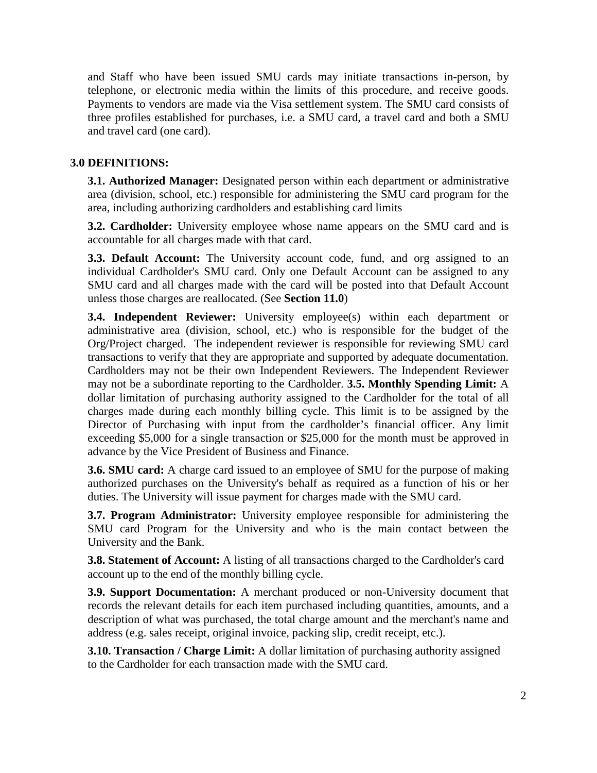and Staff who have been issued SMU cards may initiate transactions in-person, by telephone, or electronic media within the limits of this procedure, and receive goods. Payments to vendors are made via the Visa settlement system. The SMU card consists of three profiles established for purchases, i.e. a SMU card, a travel card and both a SMU and travel card (one card).

# **3.0 DEFINITIONS:**

**3.1. Authorized Manager:** Designated person within each department or administrative area (division, school, etc.) responsible for administering the SMU card program for the area, including authorizing cardholders and establishing card limits

**3.2. Cardholder:** University employee whose name appears on the SMU card and is accountable for all charges made with that card.

**3.3. Default Account:** The University account code, fund, and org assigned to an individual Cardholder's SMU card. Only one Default Account can be assigned to any SMU card and all charges made with the card will be posted into that Default Account unless those charges are reallocated. (See **Section 11.0**)

**3.4. Independent Reviewer:** University employee(s) within each department or administrative area (division, school, etc.) who is responsible for the budget of the Org/Project charged. The independent reviewer is responsible for reviewing SMU card transactions to verify that they are appropriate and supported by adequate documentation. Cardholders may not be their own Independent Reviewers. The Independent Reviewer may not be a subordinate reporting to the Cardholder. **3.5. Monthly Spending Limit:** A dollar limitation of purchasing authority assigned to the Cardholder for the total of all charges made during each monthly billing cycle. This limit is to be assigned by the Director of Purchasing with input from the cardholder's financial officer. Any limit exceeding \$5,000 for a single transaction or \$25,000 for the month must be approved in advance by the Vice President of Business and Finance.

**3.6. SMU card:** A charge card issued to an employee of SMU for the purpose of making authorized purchases on the University's behalf as required as a function of his or her duties. The University will issue payment for charges made with the SMU card.

**3.7. Program Administrator:** University employee responsible for administering the SMU card Program for the University and who is the main contact between the University and the Bank.

**3.8. Statement of Account:** A listing of all transactions charged to the Cardholder's card account up to the end of the monthly billing cycle.

**3.9. Support Documentation:** A merchant produced or non-University document that records the relevant details for each item purchased including quantities, amounts, and a description of what was purchased, the total charge amount and the merchant's name and address (e.g. sales receipt, original invoice, packing slip, credit receipt, etc.).

**3.10. Transaction / Charge Limit:** A dollar limitation of purchasing authority assigned to the Cardholder for each transaction made with the SMU card.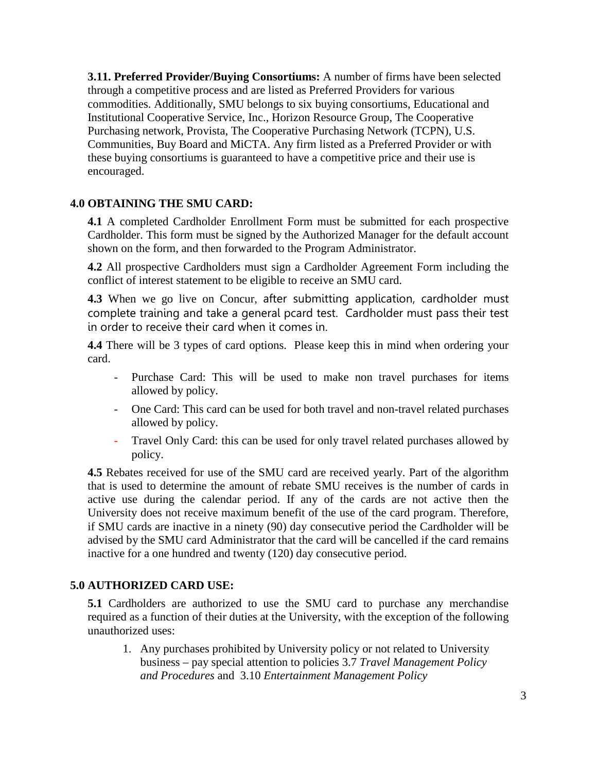**3.11. Preferred Provider/Buying Consortiums:** A number of firms have been selected through a competitive process and are listed as Preferred Providers for various commodities. Additionally, SMU belongs to six buying consortiums, Educational and Institutional Cooperative Service, Inc., Horizon Resource Group, The Cooperative Purchasing network, Provista, The Cooperative Purchasing Network (TCPN), U.S. Communities, Buy Board and MiCTA. Any firm listed as a Preferred Provider or with these buying consortiums is guaranteed to have a competitive price and their use is encouraged.

#### **4.0 OBTAINING THE SMU CARD:**

**4.1** A completed Cardholder Enrollment Form must be submitted for each prospective Cardholder. This form must be signed by the Authorized Manager for the default account shown on the form, and then forwarded to the Program Administrator.

**4.2** All prospective Cardholders must sign a Cardholder Agreement Form including the conflict of interest statement to be eligible to receive an SMU card.

**4.3** When we go live on Concur, after submitting application, cardholder must complete training and take a general pcard test. Cardholder must pass their test in order to receive their card when it comes in.

**4.4** There will be 3 types of card options. Please keep this in mind when ordering your card.

- Purchase Card: This will be used to make non travel purchases for items allowed by policy.
- One Card: This card can be used for both travel and non-travel related purchases allowed by policy.
- Travel Only Card: this can be used for only travel related purchases allowed by policy.

**4.5** Rebates received for use of the SMU card are received yearly. Part of the algorithm that is used to determine the amount of rebate SMU receives is the number of cards in active use during the calendar period. If any of the cards are not active then the University does not receive maximum benefit of the use of the card program. Therefore, if SMU cards are inactive in a ninety (90) day consecutive period the Cardholder will be advised by the SMU card Administrator that the card will be cancelled if the card remains inactive for a one hundred and twenty (120) day consecutive period.

# **5.0 AUTHORIZED CARD USE:**

**5.1** Cardholders are authorized to use the SMU card to purchase any merchandise required as a function of their duties at the University, with the exception of the following unauthorized uses:

1. Any purchases prohibited by University policy or not related to University business – pay special attention to policies 3.7 *Travel Management Policy and Procedures* and 3.10 *Entertainment Management Policy*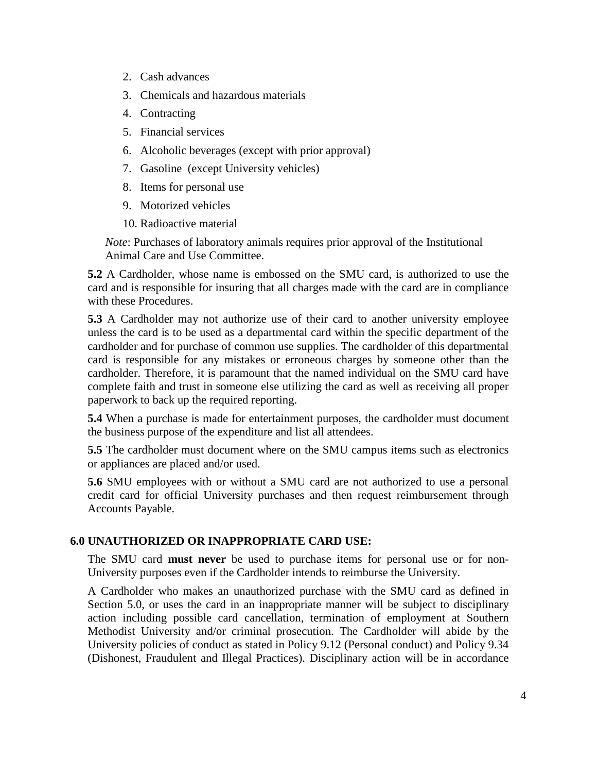- 2. Cash advances
- 3. Chemicals and hazardous materials
- 4. Contracting
- 5. Financial services
- 6. Alcoholic beverages (except with prior approval)
- 7. Gasoline (except University vehicles)
- 8. Items for personal use
- 9. Motorized vehicles
- 10. Radioactive material

*Note*: Purchases of laboratory animals requires prior approval of the Institutional Animal Care and Use Committee.

**5.2** A Cardholder, whose name is embossed on the SMU card, is authorized to use the card and is responsible for insuring that all charges made with the card are in compliance with these Procedures.

**5.3** A Cardholder may not authorize use of their card to another university employee unless the card is to be used as a departmental card within the specific department of the cardholder and for purchase of common use supplies. The cardholder of this departmental card is responsible for any mistakes or erroneous charges by someone other than the cardholder. Therefore, it is paramount that the named individual on the SMU card have complete faith and trust in someone else utilizing the card as well as receiving all proper paperwork to back up the required reporting.

**5.4** When a purchase is made for entertainment purposes, the cardholder must document the business purpose of the expenditure and list all attendees.

**5.5** The cardholder must document where on the SMU campus items such as electronics or appliances are placed and/or used.

**5.6** SMU employees with or without a SMU card are not authorized to use a personal credit card for official University purchases and then request reimbursement through Accounts Payable.

# **6.0 UNAUTHORIZED OR INAPPROPRIATE CARD USE:**

The SMU card **must never** be used to purchase items for personal use or for non-University purposes even if the Cardholder intends to reimburse the University.

A Cardholder who makes an unauthorized purchase with the SMU card as defined in Section 5.0, or uses the card in an inappropriate manner will be subject to disciplinary action including possible card cancellation, termination of employment at Southern Methodist University and/or criminal prosecution. The Cardholder will abide by the University policies of conduct as stated in Policy 9.12 (Personal conduct) and Policy 9.34 (Dishonest, Fraudulent and Illegal Practices). Disciplinary action will be in accordance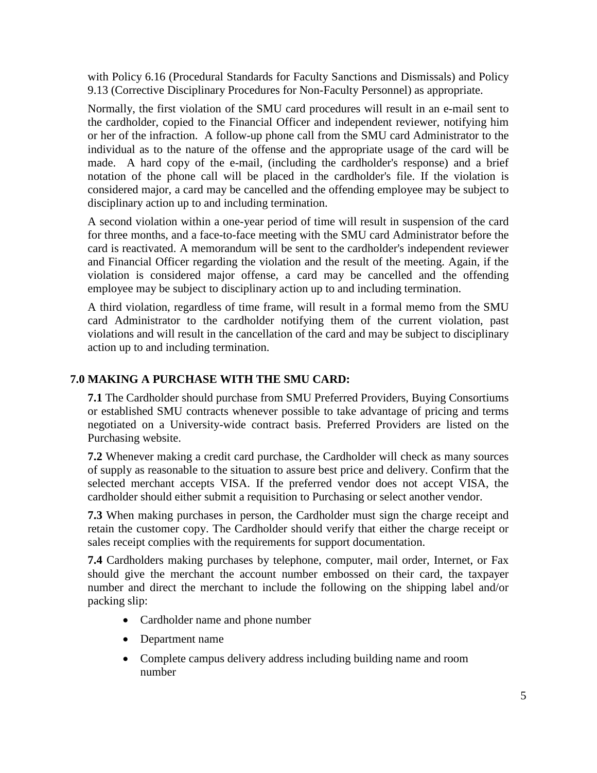with Policy 6.16 (Procedural Standards for Faculty Sanctions and Dismissals) and Policy 9.13 (Corrective Disciplinary Procedures for Non-Faculty Personnel) as appropriate.

Normally, the first violation of the SMU card procedures will result in an e-mail sent to the cardholder, copied to the Financial Officer and independent reviewer, notifying him or her of the infraction. A follow-up phone call from the SMU card Administrator to the individual as to the nature of the offense and the appropriate usage of the card will be made. A hard copy of the e-mail, (including the cardholder's response) and a brief notation of the phone call will be placed in the cardholder's file. If the violation is considered major, a card may be cancelled and the offending employee may be subject to disciplinary action up to and including termination.

A second violation within a one-year period of time will result in suspension of the card for three months, and a face-to-face meeting with the SMU card Administrator before the card is reactivated. A memorandum will be sent to the cardholder's independent reviewer and Financial Officer regarding the violation and the result of the meeting. Again, if the violation is considered major offense, a card may be cancelled and the offending employee may be subject to disciplinary action up to and including termination.

A third violation, regardless of time frame, will result in a formal memo from the SMU card Administrator to the cardholder notifying them of the current violation, past violations and will result in the cancellation of the card and may be subject to disciplinary action up to and including termination.

# **7.0 MAKING A PURCHASE WITH THE SMU CARD:**

**7.1** The Cardholder should purchase from SMU Preferred Providers, Buying Consortiums or established SMU contracts whenever possible to take advantage of pricing and terms negotiated on a University-wide contract basis. Preferred Providers are listed on the Purchasing website.

**7.2** Whenever making a credit card purchase, the Cardholder will check as many sources of supply as reasonable to the situation to assure best price and delivery. Confirm that the selected merchant accepts VISA. If the preferred vendor does not accept VISA, the cardholder should either submit a requisition to Purchasing or select another vendor.

**7.3** When making purchases in person, the Cardholder must sign the charge receipt and retain the customer copy. The Cardholder should verify that either the charge receipt or sales receipt complies with the requirements for support documentation.

**7.4** Cardholders making purchases by telephone, computer, mail order, Internet, or Fax should give the merchant the account number embossed on their card, the taxpayer number and direct the merchant to include the following on the shipping label and/or packing slip:

- Cardholder name and phone number
- Department name
- Complete campus delivery address including building name and room number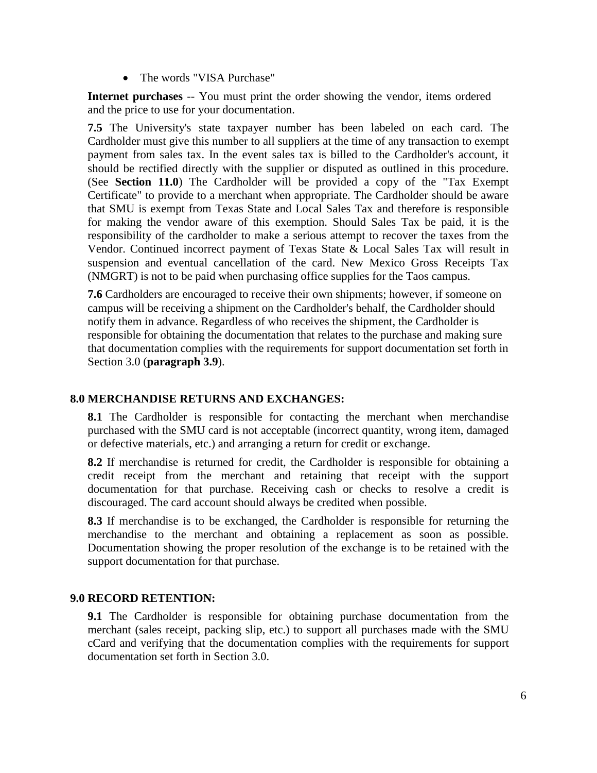• The words "VISA Purchase"

**Internet purchases** -- You must print the order showing the vendor, items ordered and the price to use for your documentation.

**7.5** The University's state taxpayer number has been labeled on each card. The Cardholder must give this number to all suppliers at the time of any transaction to exempt payment from sales tax. In the event sales tax is billed to the Cardholder's account, it should be rectified directly with the supplier or disputed as outlined in this procedure. (See **Section 11.0**) The Cardholder will be provided a copy of the "Tax Exempt Certificate" to provide to a merchant when appropriate. The Cardholder should be aware that SMU is exempt from Texas State and Local Sales Tax and therefore is responsible for making the vendor aware of this exemption. Should Sales Tax be paid, it is the responsibility of the cardholder to make a serious attempt to recover the taxes from the Vendor. Continued incorrect payment of Texas State & Local Sales Tax will result in suspension and eventual cancellation of the card. New Mexico Gross Receipts Tax (NMGRT) is not to be paid when purchasing office supplies for the Taos campus.

**7.6** Cardholders are encouraged to receive their own shipments; however, if someone on campus will be receiving a shipment on the Cardholder's behalf, the Cardholder should notify them in advance. Regardless of who receives the shipment, the Cardholder is responsible for obtaining the documentation that relates to the purchase and making sure that documentation complies with the requirements for support documentation set forth in Section 3.0 (**paragraph 3.9**).

#### **8.0 MERCHANDISE RETURNS AND EXCHANGES:**

**8.1** The Cardholder is responsible for contacting the merchant when merchandise purchased with the SMU card is not acceptable (incorrect quantity, wrong item, damaged or defective materials, etc.) and arranging a return for credit or exchange.

**8.2** If merchandise is returned for credit, the Cardholder is responsible for obtaining a credit receipt from the merchant and retaining that receipt with the support documentation for that purchase. Receiving cash or checks to resolve a credit is discouraged. The card account should always be credited when possible.

**8.3** If merchandise is to be exchanged, the Cardholder is responsible for returning the merchandise to the merchant and obtaining a replacement as soon as possible. Documentation showing the proper resolution of the exchange is to be retained with the support documentation for that purchase.

#### **9.0 RECORD RETENTION:**

**9.1** The Cardholder is responsible for obtaining purchase documentation from the merchant (sales receipt, packing slip, etc.) to support all purchases made with the SMU cCard and verifying that the documentation complies with the requirements for support documentation set forth in Section 3.0.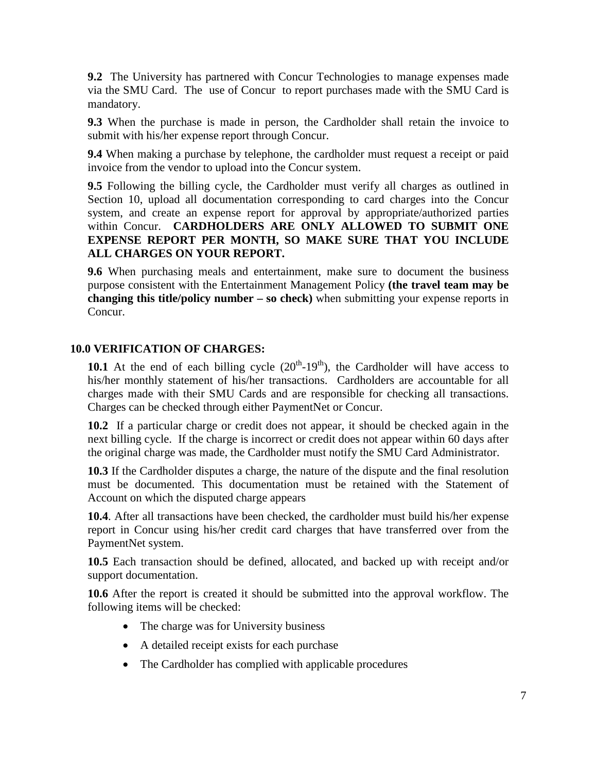**9.2** The University has partnered with Concur Technologies to manage expenses made via the SMU Card. The use of Concur to report purchases made with the SMU Card is mandatory.

**9.3** When the purchase is made in person, the Cardholder shall retain the invoice to submit with his/her expense report through Concur.

**9.4** When making a purchase by telephone, the cardholder must request a receipt or paid invoice from the vendor to upload into the Concur system.

**9.5** Following the billing cycle, the Cardholder must verify all charges as outlined in Section 10, upload all documentation corresponding to card charges into the Concur system, and create an expense report for approval by appropriate/authorized parties within Concur. **CARDHOLDERS ARE ONLY ALLOWED TO SUBMIT ONE EXPENSE REPORT PER MONTH, SO MAKE SURE THAT YOU INCLUDE ALL CHARGES ON YOUR REPORT.**

**9.6** When purchasing meals and entertainment, make sure to document the business purpose consistent with the Entertainment Management Policy **(the travel team may be changing this title/policy number – so check)** when submitting your expense reports in Concur.

# **10.0 VERIFICATION OF CHARGES:**

**10.1** At the end of each billing cycle  $(20<sup>th</sup>-19<sup>th</sup>)$ , the Cardholder will have access to his/her monthly statement of his/her transactions. Cardholders are accountable for all charges made with their SMU Cards and are responsible for checking all transactions. Charges can be checked through either PaymentNet or Concur.

**10.2** If a particular charge or credit does not appear, it should be checked again in the next billing cycle. If the charge is incorrect or credit does not appear within 60 days after the original charge was made, the Cardholder must notify the SMU Card Administrator.

**10.3** If the Cardholder disputes a charge, the nature of the dispute and the final resolution must be documented. This documentation must be retained with the Statement of Account on which the disputed charge appears

**10.4**. After all transactions have been checked, the cardholder must build his/her expense report in Concur using his/her credit card charges that have transferred over from the PaymentNet system.

**10.5** Each transaction should be defined, allocated, and backed up with receipt and/or support documentation.

**10.6** After the report is created it should be submitted into the approval workflow. The following items will be checked:

- The charge was for University business
- A detailed receipt exists for each purchase
- The Cardholder has complied with applicable procedures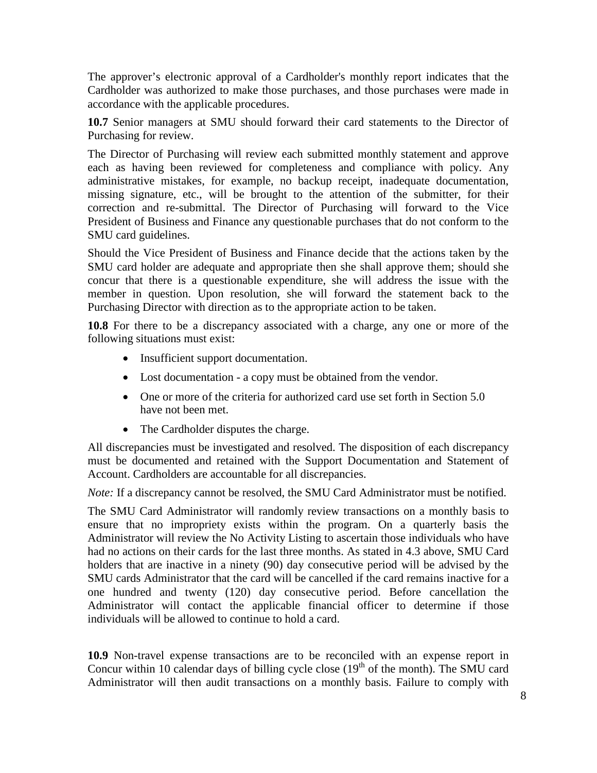The approver's electronic approval of a Cardholder's monthly report indicates that the Cardholder was authorized to make those purchases, and those purchases were made in accordance with the applicable procedures.

**10.7** Senior managers at SMU should forward their card statements to the Director of Purchasing for review.

The Director of Purchasing will review each submitted monthly statement and approve each as having been reviewed for completeness and compliance with policy. Any administrative mistakes, for example, no backup receipt, inadequate documentation, missing signature, etc., will be brought to the attention of the submitter, for their correction and re-submittal. The Director of Purchasing will forward to the Vice President of Business and Finance any questionable purchases that do not conform to the SMU card guidelines.

Should the Vice President of Business and Finance decide that the actions taken by the SMU card holder are adequate and appropriate then she shall approve them; should she concur that there is a questionable expenditure, she will address the issue with the member in question. Upon resolution, she will forward the statement back to the Purchasing Director with direction as to the appropriate action to be taken.

**10.8** For there to be a discrepancy associated with a charge, any one or more of the following situations must exist:

- Insufficient support documentation.
- Lost documentation a copy must be obtained from the vendor.
- One or more of the criteria for authorized card use set forth in Section 5.0 have not been met.
- The Cardholder disputes the charge.

All discrepancies must be investigated and resolved. The disposition of each discrepancy must be documented and retained with the Support Documentation and Statement of Account. Cardholders are accountable for all discrepancies.

*Note:* If a discrepancy cannot be resolved, the SMU Card Administrator must be notified.

The SMU Card Administrator will randomly review transactions on a monthly basis to ensure that no impropriety exists within the program. On a quarterly basis the Administrator will review the No Activity Listing to ascertain those individuals who have had no actions on their cards for the last three months. As stated in 4.3 above, SMU Card holders that are inactive in a ninety (90) day consecutive period will be advised by the SMU cards Administrator that the card will be cancelled if the card remains inactive for a one hundred and twenty (120) day consecutive period. Before cancellation the Administrator will contact the applicable financial officer to determine if those individuals will be allowed to continue to hold a card.

**10.9** Non-travel expense transactions are to be reconciled with an expense report in Concur within 10 calendar days of billing cycle close  $(19<sup>th</sup>$  of the month). The SMU card Administrator will then audit transactions on a monthly basis. Failure to comply with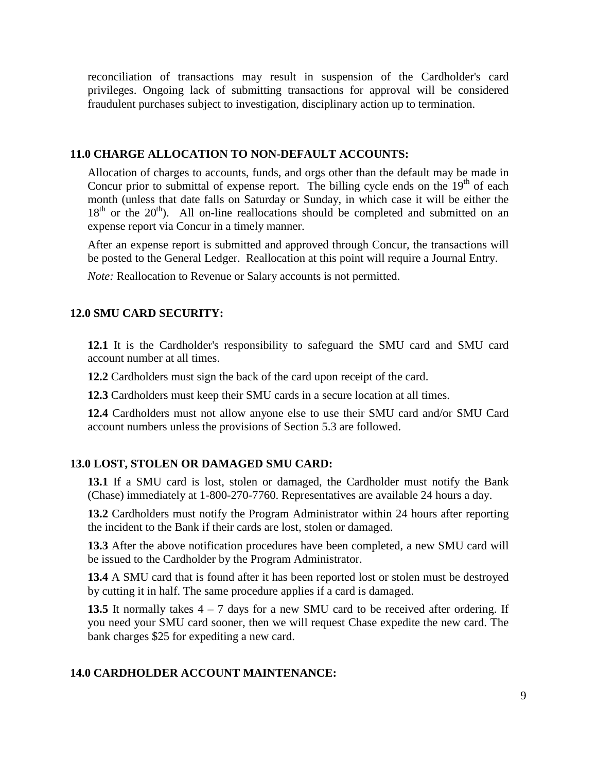reconciliation of transactions may result in suspension of the Cardholder's card privileges. Ongoing lack of submitting transactions for approval will be considered fraudulent purchases subject to investigation, disciplinary action up to termination.

#### **11.0 CHARGE ALLOCATION TO NON-DEFAULT ACCOUNTS:**

Allocation of charges to accounts, funds, and orgs other than the default may be made in Concur prior to submittal of expense report. The billing cycle ends on the  $19<sup>th</sup>$  of each month (unless that date falls on Saturday or Sunday, in which case it will be either the  $18<sup>th</sup>$  or the  $20<sup>th</sup>$ ). All on-line reallocations should be completed and submitted on an expense report via Concur in a timely manner.

After an expense report is submitted and approved through Concur, the transactions will be posted to the General Ledger. Reallocation at this point will require a Journal Entry.

*Note:* Reallocation to Revenue or Salary accounts is not permitted.

# **12.0 SMU CARD SECURITY:**

**12.1** It is the Cardholder's responsibility to safeguard the SMU card and SMU card account number at all times.

**12.2** Cardholders must sign the back of the card upon receipt of the card.

**12.3** Cardholders must keep their SMU cards in a secure location at all times.

**12.4** Cardholders must not allow anyone else to use their SMU card and/or SMU Card account numbers unless the provisions of Section 5.3 are followed.

# **13.0 LOST, STOLEN OR DAMAGED SMU CARD:**

**13.1** If a SMU card is lost, stolen or damaged, the Cardholder must notify the Bank (Chase) immediately at 1-800-270-7760. Representatives are available 24 hours a day.

**13.2** Cardholders must notify the Program Administrator within 24 hours after reporting the incident to the Bank if their cards are lost, stolen or damaged.

**13.3** After the above notification procedures have been completed, a new SMU card will be issued to the Cardholder by the Program Administrator.

**13.4** A SMU card that is found after it has been reported lost or stolen must be destroyed by cutting it in half. The same procedure applies if a card is damaged.

**13.5** It normally takes 4 – 7 days for a new SMU card to be received after ordering. If you need your SMU card sooner, then we will request Chase expedite the new card. The bank charges \$25 for expediting a new card.

# **14.0 CARDHOLDER ACCOUNT MAINTENANCE:**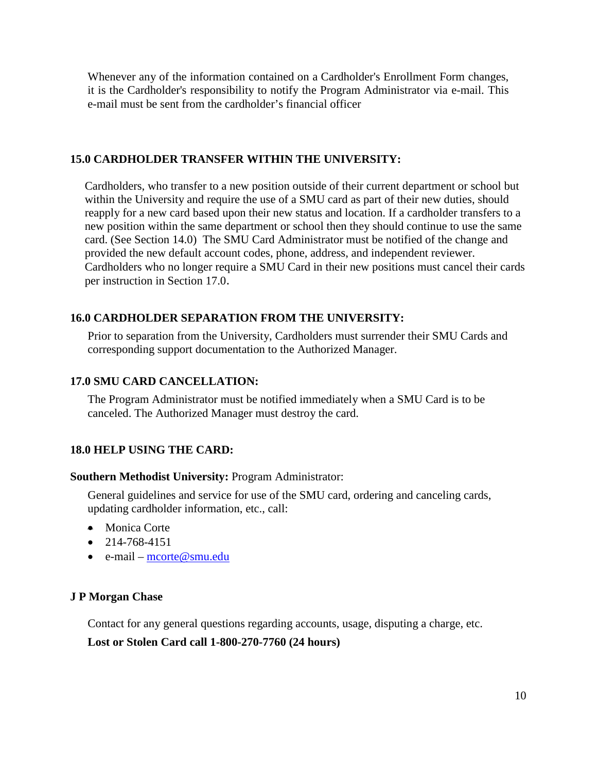Whenever any of the information contained on a Cardholder's Enrollment Form changes, it is the Cardholder's responsibility to notify the Program Administrator via e-mail. This e-mail must be sent from the cardholder's financial officer

#### **15.0 CARDHOLDER TRANSFER WITHIN THE UNIVERSITY:**

Cardholders, who transfer to a new position outside of their current department or school but within the University and require the use of a SMU card as part of their new duties, should reapply for a new card based upon their new status and location. If a cardholder transfers to a new position within the same department or school then they should continue to use the same card. (See Section 14.0) The SMU Card Administrator must be notified of the change and provided the new default account codes, phone, address, and independent reviewer. Cardholders who no longer require a SMU Card in their new positions must cancel their cards per instruction in Section 17.0.

# **16.0 CARDHOLDER SEPARATION FROM THE UNIVERSITY:**

Prior to separation from the University, Cardholders must surrender their SMU Cards and corresponding support documentation to the Authorized Manager.

#### **17.0 SMU CARD CANCELLATION:**

The Program Administrator must be notified immediately when a SMU Card is to be canceled. The Authorized Manager must destroy the card.

#### **18.0 HELP USING THE CARD:**

#### **Southern Methodist University:** Program Administrator:

General guidelines and service for use of the SMU card, ordering and canceling cards, updating cardholder information, etc., call:

- Monica Corte
- $\bullet$  214-768-4151
- e-mail [mcorte@smu.edu](mailto:mcorte@smu.edu)

#### **J P Morgan Chase**

Contact for any general questions regarding accounts, usage, disputing a charge, etc.

#### **Lost or Stolen Card call 1-800-270-7760 (24 hours)**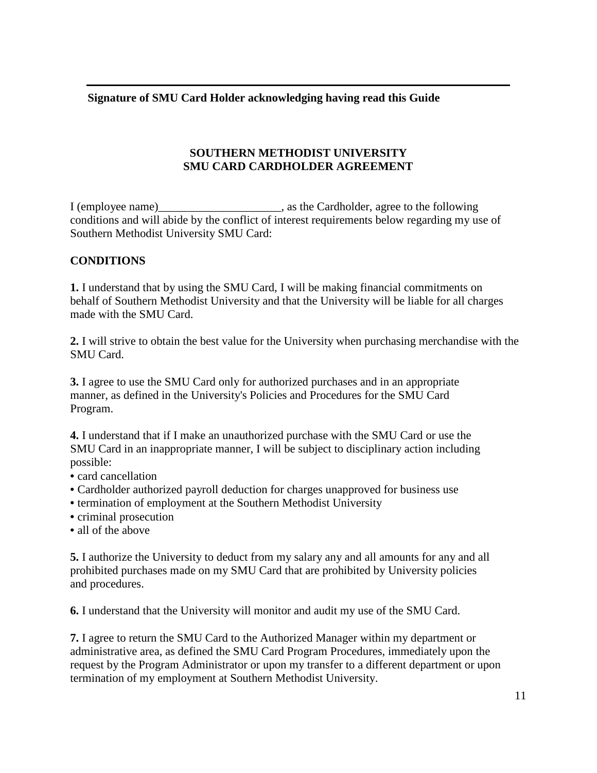**Signature of SMU Card Holder acknowledging having read this Guide**

# **SOUTHERN METHODIST UNIVERSITY SMU CARD CARDHOLDER AGREEMENT**

I (employee name)\_\_\_\_\_\_\_\_\_\_\_\_\_\_\_\_\_\_\_\_\_, as the Cardholder, agree to the following conditions and will abide by the conflict of interest requirements below regarding my use of Southern Methodist University SMU Card:

# **CONDITIONS**

**1.** I understand that by using the SMU Card, I will be making financial commitments on behalf of Southern Methodist University and that the University will be liable for all charges made with the SMU Card.

**2.** I will strive to obtain the best value for the University when purchasing merchandise with the SMU Card.

**3.** I agree to use the SMU Card only for authorized purchases and in an appropriate manner, as defined in the University's Policies and Procedures for the SMU Card Program.

**4.** I understand that if I make an unauthorized purchase with the SMU Card or use the SMU Card in an inappropriate manner, I will be subject to disciplinary action including possible:

- card cancellation
- Cardholder authorized payroll deduction for charges unapproved for business use
- termination of employment at the Southern Methodist University
- criminal prosecution
- all of the above

**5.** I authorize the University to deduct from my salary any and all amounts for any and all prohibited purchases made on my SMU Card that are prohibited by University policies and procedures.

**6.** I understand that the University will monitor and audit my use of the SMU Card.

**7.** I agree to return the SMU Card to the Authorized Manager within my department or administrative area, as defined the SMU Card Program Procedures, immediately upon the request by the Program Administrator or upon my transfer to a different department or upon termination of my employment at Southern Methodist University.